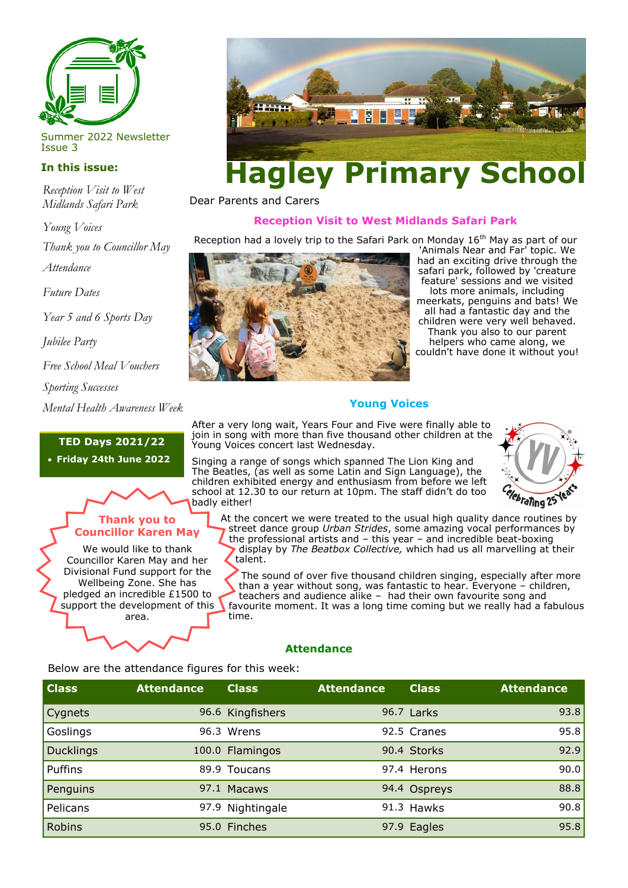

Summer 2022 Newsletter Issue 3

## **In this issue:**

*Reception Visit to West Midlands Safari Park*

*Young Voices* 

*Thank you to Councillor May*

*Attendance* 

*Future Dates* 

*Year 5 and 6 Sports Day*

*Jubilee Party*

*Free School Meal Vouchers*

*Sporting Successes*

*Mental Health Awareness Week*

# **TED Days 2021/22**

• **Friday 24th June 2022**

# **Thank you to Councillor Karen May**

We would like to thank Councillor Karen May and her Divisional Fund support for the Wellbeing Zone. She has pledged an incredible £1500 to support the development of this area.



Dear Parents and Carers

### **Reception Visit to West Midlands Safari Park**

Reception had a lovely trip to the Safari Park on Monday 16<sup>th</sup> May as part of our



'Animals Near and Far' topic. We had an exciting drive through the safari park, followed by 'creature feature' sessions and we visited lots more animals, including meerkats, penguins and bats! We all had a fantastic day and the children were very well behaved. Thank you also to our parent helpers who came along, we couldn't have done it without you!

### **Young Voices**

After a very long wait, Years Four and Five were finally able to join in song with more than five thousand other children at the Young Voices concert last Wednesday.

Singing a range of songs which spanned The Lion King and The Beatles, (as well as some Latin and Sign Language), the children exhibited energy and enthusiasm from before we left school at 12.30 to our return at 10pm. The staff didn't do too badly either!



At the concert we were treated to the usual high quality dance routines by street dance group *Urban Strides*, some amazing vocal performances by the professional artists and – this year – and incredible beat-boxing display by *The Beatbox Collective,* which had us all marvelling at their talent.

The sound of over five thousand children singing, especially after more than a year without song, was fantastic to hear. Everyone – children, teachers and audience alike – had their own favourite song and favourite moment. It was a long time coming but we really had a fabulous time.

# **Attendance**

Below are the attendance figures for this week:

| <b>Class</b> | <b>Attendance</b> | <b>Class</b>     | <b>Attendance</b> | <b>Class</b> | <b>Attendance</b> |
|--------------|-------------------|------------------|-------------------|--------------|-------------------|
| Cygnets      |                   | 96.6 Kingfishers |                   | 96.7 Larks   | 93.8              |
| Goslings     |                   | 96.3 Wrens       |                   | 92.5 Cranes  | 95.8              |
| Ducklings    |                   | 100.0 Flamingos  |                   | 90.4 Storks  | 92.9              |
| Puffins      |                   | 89.9 Toucans     |                   | 97.4 Herons  | 90.0              |
| Penguins     |                   | 97.1 Macaws      |                   | 94.4 Ospreys | 88.8              |
| Pelicans     |                   | 97.9 Nightingale |                   | 91.3 Hawks   | 90.8              |
| Robins       |                   | 95.0 Finches     |                   | 97.9 Eagles  | 95.8              |